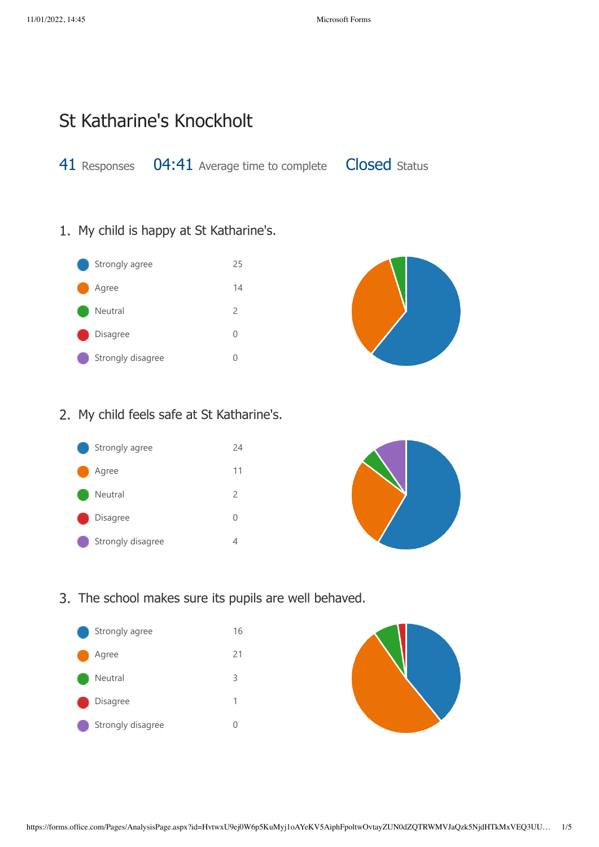## St Katharine's Knockholt

41 Responses 04:41 Average time to complete Closed Status

1. My child is happy at St Katharine's.





## 2. My child feels safe at St Katharine's.





## 3. The school makes sure its pupils are well behaved.



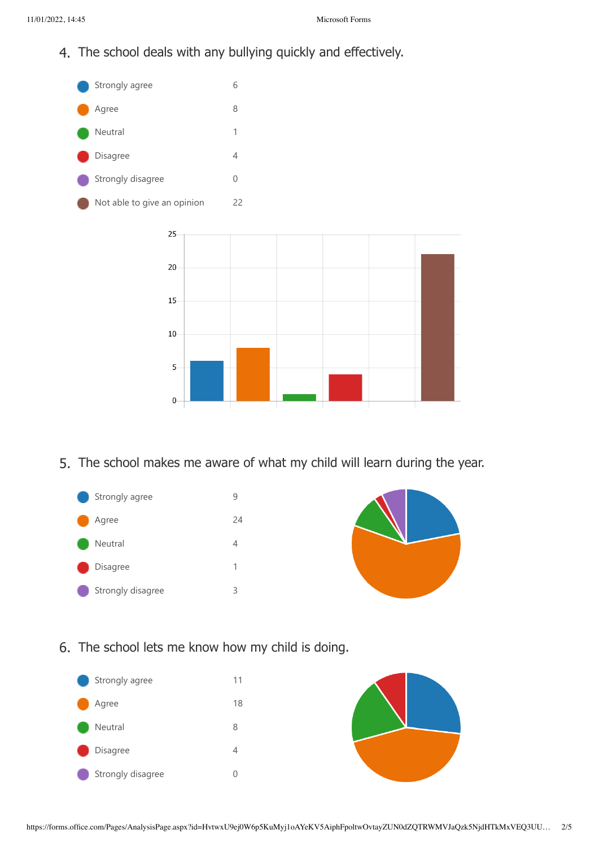4. The school deals with any bullying quickly and effectively.



5. The school makes me aware of what my child will learn during the year.





6. The school lets me know how my child is doing.

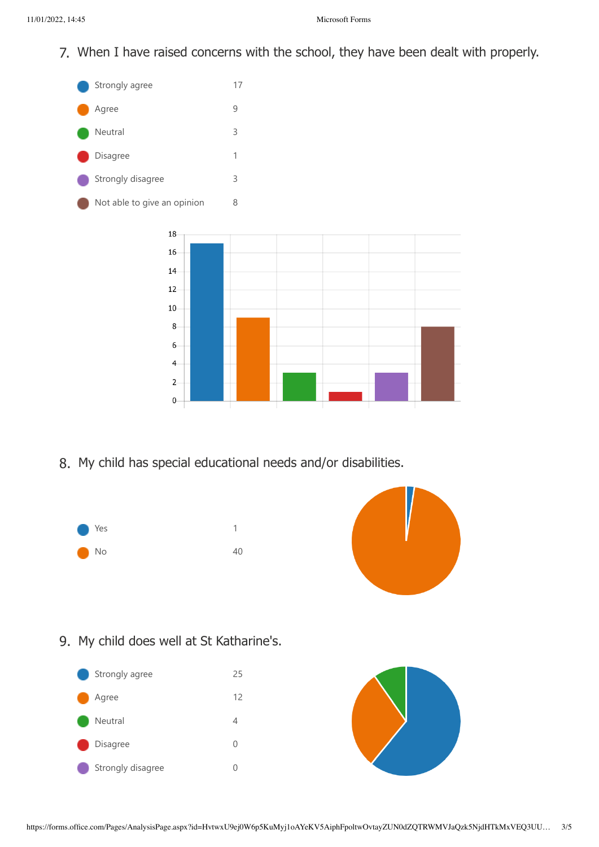7. When I have raised concerns with the school, they have been dealt with properly.



8. My child has special educational needs and/or disabilities.





9. My child does well at St Katharine's.



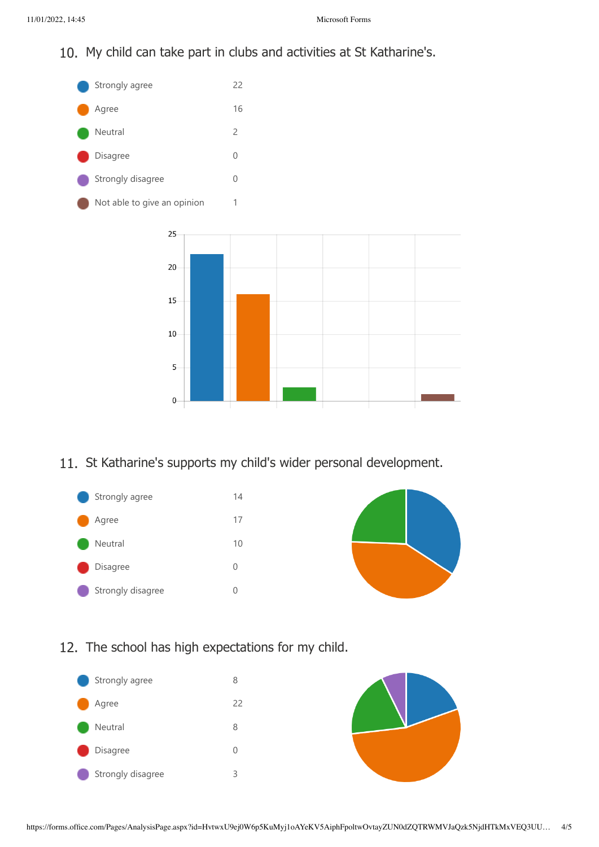10. My child can take part in clubs and activities at St Katharine's.



11. St Katharine's supports my child's wider personal development.





12. The school has high expectations for my child.